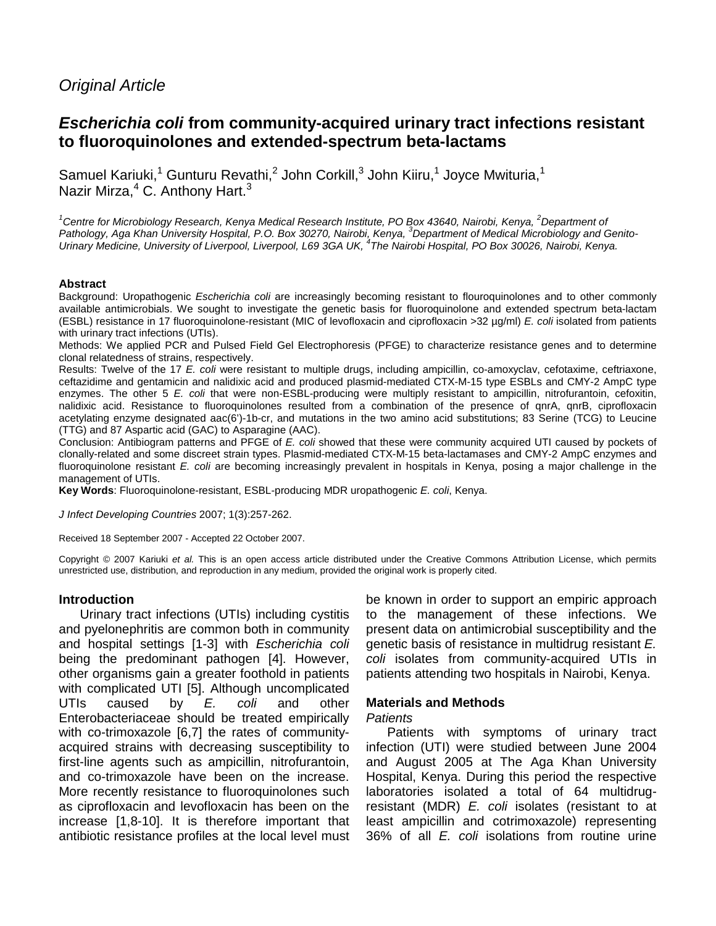# Original Article

# **Escherichia coli from community-acquired urinary tract infections resistant to fluoroquinolones and extended-spectrum beta-lactams**

Samuel Kariuki,<sup>1</sup> Gunturu Revathi,<sup>2</sup> John Corkill,<sup>3</sup> John Kiiru,<sup>1</sup> Joyce Mwituria,<sup>1</sup> Nazir Mirza,<sup>4</sup> C. Anthony Hart.<sup>3</sup>

 $1$ Centre for Microbiology Research, Kenya Medical Research Institute, PO Box 43640, Nairobi, Kenya,  $2$ Department of Pathology, Aga Khan University Hospital, P.O. Box 30270, Nairobi, Kenya, <sup>3</sup>Department of Medical Microbiology and Genito-Urinary Medicine, University of Liverpool, Liverpool, L69 3GA UK, <sup>4</sup>The Nairobi Hospital, PO Box 30026, Nairobi, Kenya.

#### **Abstract**

Background: Uropathogenic Escherichia coli are increasingly becoming resistant to flouroquinolones and to other commonly available antimicrobials. We sought to investigate the genetic basis for fluoroquinolone and extended spectrum beta-lactam (ESBL) resistance in 17 fluoroquinolone-resistant (MIC of levofloxacin and ciprofloxacin >32 µg/ml) E. coli isolated from patients with urinary tract infections (UTIs).

Methods: We applied PCR and Pulsed Field Gel Electrophoresis (PFGE) to characterize resistance genes and to determine clonal relatedness of strains, respectively.

Results: Twelve of the 17 E. coli were resistant to multiple drugs, including ampicillin, co-amoxyclav, cefotaxime, ceftriaxone, ceftazidime and gentamicin and nalidixic acid and produced plasmid-mediated CTX-M-15 type ESBLs and CMY-2 AmpC type enzymes. The other 5 E. coli that were non-ESBL-producing were multiply resistant to ampicillin, nitrofurantoin, cefoxitin, nalidixic acid. Resistance to fluoroquinolones resulted from a combination of the presence of qnrA, qnrB, ciprofloxacin acetylating enzyme designated aac(6')-1b-cr, and mutations in the two amino acid substitutions; 83 Serine (TCG) to Leucine (TTG) and 87 Aspartic acid (GAC) to Asparagine (AAC).

Conclusion: Antibiogram patterns and PFGE of E. coli showed that these were community acquired UTI caused by pockets of clonally-related and some discreet strain types. Plasmid-mediated CTX-M-15 beta-lactamases and CMY-2 AmpC enzymes and fluoroquinolone resistant E. coli are becoming increasingly prevalent in hospitals in Kenya, posing a major challenge in the management of UTIs.

**Key Words**: Fluoroquinolone-resistant, ESBL-producing MDR uropathogenic E. coli, Kenya.

J Infect Developing Countries 2007; 1(3):257-262.

Received 18 September 2007 - Accepted 22 October 2007.

Copyright © 2007 Kariuki et al. This is an open access article distributed under the Creative Commons Attribution License, which permits unrestricted use, distribution, and reproduction in any medium, provided the original work is properly cited.

#### **Introduction**

Urinary tract infections (UTIs) including cystitis and pyelonephritis are common both in community and hospital settings [1-3] with Escherichia coli being the predominant pathogen [4]. However, other organisms gain a greater foothold in patients with complicated UTI [5]. Although uncomplicated UTIs caused by E. coli and other Enterobacteriaceae should be treated empirically with co-trimoxazole [6,7] the rates of communityacquired strains with decreasing susceptibility to first-line agents such as ampicillin, nitrofurantoin, and co-trimoxazole have been on the increase. More recently resistance to fluoroquinolones such as ciprofloxacin and levofloxacin has been on the increase [1,8-10]. It is therefore important that antibiotic resistance profiles at the local level must

be known in order to support an empiric approach to the management of these infections. We present data on antimicrobial susceptibility and the genetic basis of resistance in multidrug resistant E. coli isolates from community-acquired UTIs in patients attending two hospitals in Nairobi, Kenya.

### **Materials and Methods**

#### Patients

Patients with symptoms of urinary tract infection (UTI) were studied between June 2004 and August 2005 at The Aga Khan University Hospital, Kenya. During this period the respective laboratories isolated a total of 64 multidrugresistant (MDR) E. coli isolates (resistant to at least ampicillin and cotrimoxazole) representing 36% of all E. coli isolations from routine urine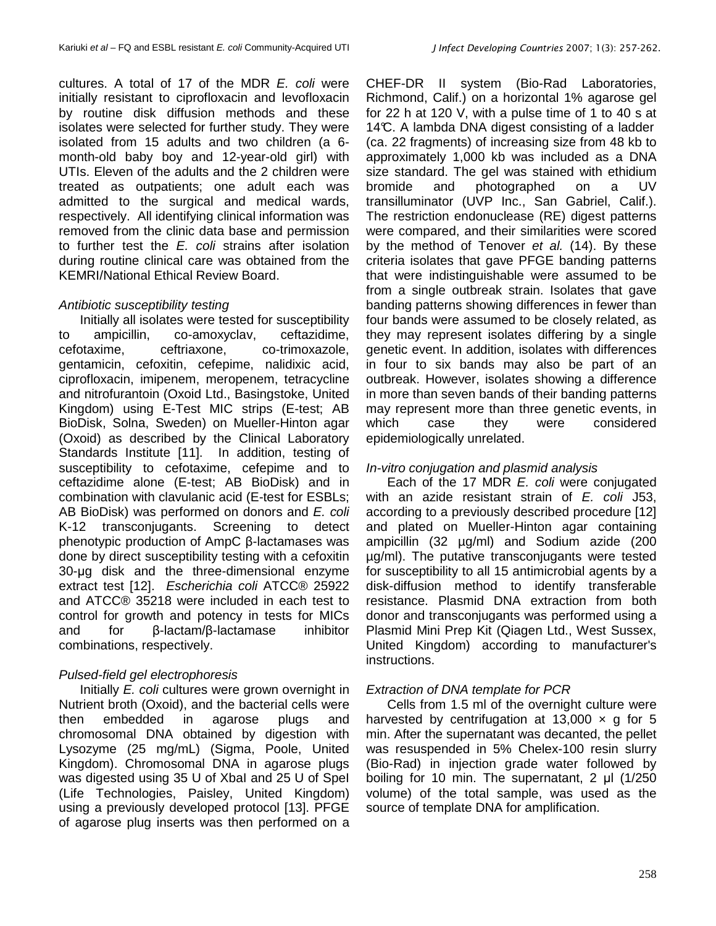cultures. A total of 17 of the MDR  $E$ , coli were initially resistant to ciprofloxacin and levofloxacin by routine disk diffusion methods and these isolates were selected for further study. They were isolated from 15 adults and two children (a 6 month-old baby boy and 12-year-old girl) with UTIs. Eleven of the adults and the 2 children were treated as outpatients; one adult each was admitted to the surgical and medical wards, respectively. All identifying clinical information was removed from the clinic data base and permission to further test the E. coli strains after isolation during routine clinical care was obtained from the KEMRI/National Ethical Review Board.

## Antibiotic susceptibility testing

Initially all isolates were tested for susceptibility to ampicillin, co-amoxyclav, ceftazidime, cefotaxime, ceftriaxone, co-trimoxazole, gentamicin, cefoxitin, cefepime, nalidixic acid, ciprofloxacin, imipenem, meropenem, tetracycline and nitrofurantoin (Oxoid Ltd., Basingstoke, United Kingdom) using E-Test MIC strips (E-test; AB BioDisk, Solna, Sweden) on Mueller-Hinton agar (Oxoid) as described by the Clinical Laboratory Standards Institute [11]. In addition, testing of susceptibility to cefotaxime, cefepime and to ceftazidime alone (E-test; AB BioDisk) and in combination with clavulanic acid (E-test for ESBLs; AB BioDisk) was performed on donors and E. coli K-12 transconjugants. Screening to detect phenotypic production of AmpC β-lactamases was done by direct susceptibility testing with a cefoxitin 30-µg disk and the three-dimensional enzyme extract test [12]. Escherichia coli ATCC® 25922 and ATCC® 35218 were included in each test to control for growth and potency in tests for MICs and for β-lactam/β-lactamase inhibitor combinations, respectively.

## Pulsed-field gel electrophoresis

Initially E. coli cultures were grown overnight in Nutrient broth (Oxoid), and the bacterial cells were then embedded in agarose plugs and chromosomal DNA obtained by digestion with Lysozyme (25 mg/mL) (Sigma, Poole, United Kingdom). Chromosomal DNA in agarose plugs was digested using 35 U of XbaI and 25 U of SpeI (Life Technologies, Paisley, United Kingdom) using a previously developed protocol [13]. PFGE of agarose plug inserts was then performed on a

CHEF-DR II system (Bio-Rad Laboratories, Richmond, Calif.) on a horizontal 1% agarose gel for 22 h at 120 V, with a pulse time of 1 to 40 s at 14 $\mathbb C$ . A lambda DNA digest consisting of a ladder (ca. 22 fragments) of increasing size from 48 kb to approximately 1,000 kb was included as a DNA size standard. The gel was stained with ethidium bromide and photographed on a UV transilluminator (UVP Inc., San Gabriel, Calif.). The restriction endonuclease (RE) digest patterns were compared, and their similarities were scored by the method of Tenover et al. (14). By these criteria isolates that gave PFGE banding patterns that were indistinguishable were assumed to be from a single outbreak strain. Isolates that gave banding patterns showing differences in fewer than four bands were assumed to be closely related, as they may represent isolates differing by a single genetic event. In addition, isolates with differences in four to six bands may also be part of an outbreak. However, isolates showing a difference in more than seven bands of their banding patterns may represent more than three genetic events, in which case they were considered epidemiologically unrelated.

## In-vitro conjugation and plasmid analysis

Each of the 17 MDR E. coli were conjugated with an azide resistant strain of E, coli J53, according to a previously described procedure [12] and plated on Mueller-Hinton agar containing ampicillin (32 µg/ml) and Sodium azide (200 µg/ml). The putative transconjugants were tested for susceptibility to all 15 antimicrobial agents by a disk-diffusion method to identify transferable resistance. Plasmid DNA extraction from both donor and transconjugants was performed using a Plasmid Mini Prep Kit (Qiagen Ltd., West Sussex, United Kingdom) according to manufacturer's instructions.

## Extraction of DNA template for PCR

Cells from 1.5 ml of the overnight culture were harvested by centrifugation at 13,000  $\times$  q for 5 min. After the supernatant was decanted, the pellet was resuspended in 5% Chelex-100 resin slurry (Bio-Rad) in injection grade water followed by boiling for 10 min. The supernatant, 2 µl (1/250 volume) of the total sample, was used as the source of template DNA for amplification.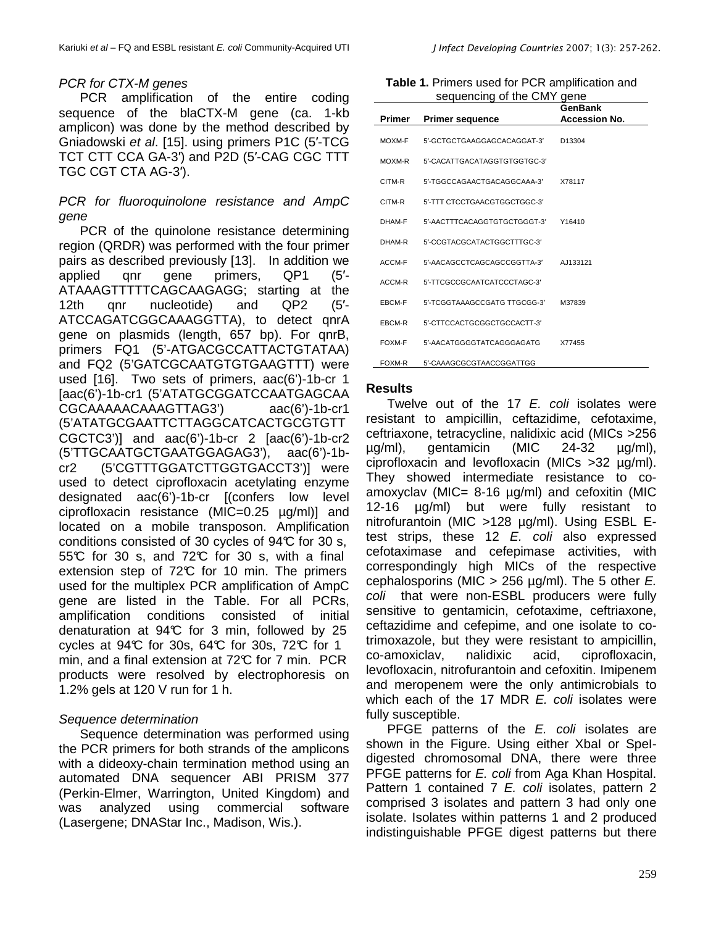## PCR for CTX-M genes

PCR amplification of the entire coding sequence of the blaCTX-M gene (ca. 1-kb amplicon) was done by the method described by Gniadowski et al. [15]. using primers P1C (5′-TCG TCT CTT CCA GA-3′) and P2D (5′-CAG CGC TTT TGC CGT CTA AG-3′).

PCR for fluoroquinolone resistance and AmpC gene

PCR of the quinolone resistance determining region (QRDR) was performed with the four primer pairs as described previously [13]. In addition we applied qnr gene primers, QP1 (5′- ATAAAGTTTTTCAGCAAGAGG; starting at the 12th qnr nucleotide) and QP2 (5'-ATCCAGATCGGCAAAGGTTA), to detect qnrA gene on plasmids (length, 657 bp). For qnrB, primers FQ1 (5'-ATGACGCCATTACTGTATAA) and FQ2 (5'GATCGCAATGTGTGAAGTTT) were used [16]. Two sets of primers, aac(6')-1b-cr 1 [aac(6')-1b-cr1 (5'ATATGCGGATCCAATGAGCAA CGCAAAAACAAAGTTAG3') aac(6')-1b-cr1 (5'ATATGCGAATTCTTAGGCATCACTGCGTGTT CGCTC3')] and aac(6')-1b-cr 2 [aac(6')-1b-cr2 (5'TTGCAATGCTGAATGGAGAG3'), aac(6')-1bcr2 (5'CGTTTGGATCTTGGTGACCT3')] were used to detect ciprofloxacin acetylating enzyme designated aac(6')-1b-cr [(confers low level ciprofloxacin resistance (MIC=0.25 µg/ml)] and located on a mobile transposon. Amplification conditions consisted of 30 cycles of 94°C for 30 s, 55 $\mathbb C$  for 30 s, and 72 $\mathbb C$  for 30 s, with a final extension step of  $72^{\circ}$  for 10 min. The primers used for the multiplex PCR amplification of AmpC gene are listed in the Table. For all PCRs, amplification conditions consisted of initial denaturation at 94°C for 3 min, followed by 25 cycles at  $94\mathbb{C}$  for 30s,  $64\mathbb{C}$  for 30s,  $72\mathbb{C}$  for 1 min, and a final extension at  $72^{\circ}$  for 7 min. PCR products were resolved by electrophoresis on 1.2% gels at 120 V run for 1 h.

## Sequence determination

Sequence determination was performed using the PCR primers for both strands of the amplicons with a dideoxy-chain termination method using an automated DNA sequencer ABI PRISM 377 (Perkin-Elmer, Warrington, United Kingdom) and was analyzed using commercial software (Lasergene; DNAStar Inc., Madison, Wis.).

|  |  | J Infect Developing Countries 2007; 1(3): 257-262. |  |  |  |  |
|--|--|----------------------------------------------------|--|--|--|--|
|--|--|----------------------------------------------------|--|--|--|--|

| Table 1. Primers used for PCR amplification and |  |  |  |  |
|-------------------------------------------------|--|--|--|--|
| sequencing of the CMY gene                      |  |  |  |  |

| <b>Primer</b> | <b>Primer sequence</b>       | <b>GenBank</b><br><b>Accession No.</b> |
|---------------|------------------------------|----------------------------------------|
| MOXM-F        | 5'-GCTGCTGAAGGAGCACAGGAT-3'  | D13304                                 |
| MOXM-R        | 5'-CACATTGACATAGGTGTGGTGC-3' |                                        |
| CITM-R        | 5'-TGGCCAGAACTGACAGGCAAA-3'  | X78117                                 |
| CITM-R        | 5'-TTT CTCCTGAACGTGGCTGGC-3' |                                        |
| DHAM-F        | 5'-AACTTTCACAGGTGTGCTGGGT-3' | Y16410                                 |
| DHAM-R        | 5'-CCGTACGCATACTGGCTTTGC-3'  |                                        |
| ACCM-F        | 5'-AACAGCCTCAGCAGCCGGTTA-3'  | AJ133121                               |
| ACCM-R        | 5'-TTCGCCGCAATCATCCCTAGC-3'  |                                        |
| EBCM-F        | 5'-TCGGTAAAGCCGATG TTGCGG-3' | M37839                                 |
| EBCM-R        | 5'-CTTCCACTGCGGCTGCCACTT-3'  |                                        |
| FOXM-F        | 5'-AACATGGGGTATCAGGGAGATG    | X77455                                 |
| FOXM-R        | 5'-CAAAGCGCGTAACCGGATTGG     |                                        |

#### **Results**

Twelve out of the 17 E. coli isolates were resistant to ampicillin, ceftazidime, cefotaxime, ceftriaxone, tetracycline, nalidixic acid (MICs >256 µg/ml), gentamicin (MIC 24-32 µg/ml), ciprofloxacin and levofloxacin (MICs >32 µg/ml). They showed intermediate resistance to coamoxyclav (MIC=  $8-16 \mu g/ml$ ) and cefoxitin (MIC 12-16 µg/ml) but were fully resistant to nitrofurantoin (MIC >128 µg/ml). Using ESBL Etest strips, these  $12$  E. coli also expressed cefotaximase and cefepimase activities, with correspondingly high MICs of the respective cephalosporins (MIC > 256  $\mu$ g/ml). The 5 other E. coli that were non-ESBL producers were fully sensitive to gentamicin, cefotaxime, ceftriaxone, ceftazidime and cefepime, and one isolate to cotrimoxazole, but they were resistant to ampicillin, co-amoxiclav, nalidixic acid, ciprofloxacin, levofloxacin, nitrofurantoin and cefoxitin. Imipenem and meropenem were the only antimicrobials to which each of the 17 MDR E. coli isolates were fully susceptible.

PFGE patterns of the E. coli isolates are shown in the Figure. Using either XbaI or SpeIdigested chromosomal DNA, there were three PFGE patterns for E. coli from Aga Khan Hospital. Pattern 1 contained 7 E. coli isolates, pattern 2 comprised 3 isolates and pattern 3 had only one isolate. Isolates within patterns 1 and 2 produced indistinguishable PFGE digest patterns but there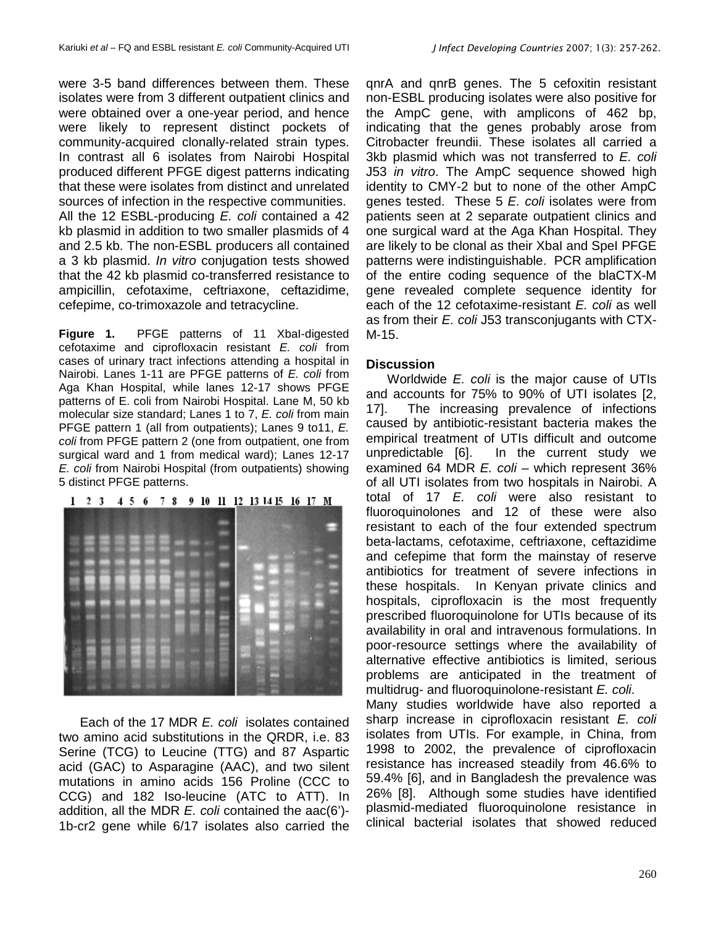were 3-5 band differences between them. These isolates were from 3 different outpatient clinics and were obtained over a one-year period, and hence were likely to represent distinct pockets of community-acquired clonally-related strain types. In contrast all 6 isolates from Nairobi Hospital produced different PFGE digest patterns indicating that these were isolates from distinct and unrelated sources of infection in the respective communities. All the 12 ESBL-producing E. coli contained a 42 kb plasmid in addition to two smaller plasmids of 4 and 2.5 kb. The non-ESBL producers all contained a 3 kb plasmid. In vitro conjugation tests showed that the 42 kb plasmid co-transferred resistance to ampicillin, cefotaxime, ceftriaxone, ceftazidime, cefepime, co-trimoxazole and tetracycline.

**Figure 1.** PFGE patterns of 11 XbaI-digested cefotaxime and ciprofloxacin resistant E. coli from cases of urinary tract infections attending a hospital in Nairobi. Lanes 1-11 are PFGE patterns of E. coli from Aga Khan Hospital, while lanes 12-17 shows PFGE patterns of E. coli from Nairobi Hospital. Lane M, 50 kb molecular size standard; Lanes 1 to 7, E. coli from main PFGE pattern 1 (all from outpatients); Lanes 9 to11, E. coli from PFGE pattern 2 (one from outpatient, one from surgical ward and 1 from medical ward); Lanes 12-17 E. coli from Nairobi Hospital (from outpatients) showing 5 distinct PFGE patterns.

## 1 2 3 4 5 6 7 8 9 10 11 12 13 14 15 16 17 M

Each of the 17 MDR E. coli isolates contained two amino acid substitutions in the QRDR, i.e. 83 Serine (TCG) to Leucine (TTG) and 87 Aspartic acid (GAC) to Asparagine (AAC), and two silent mutations in amino acids 156 Proline (CCC to CCG) and 182 Iso-leucine (ATC to ATT). In addition, all the MDR  $E$ . coli contained the aac(6')-1b-cr2 gene while 6/17 isolates also carried the qnrA and qnrB genes. The 5 cefoxitin resistant non-ESBL producing isolates were also positive for the AmpC gene, with amplicons of 462 bp, indicating that the genes probably arose from Citrobacter freundii. These isolates all carried a 3kb plasmid which was not transferred to E. coli J53 in vitro. The AmpC sequence showed high identity to CMY-2 but to none of the other AmpC genes tested. These  $5 \nE$  coli isolates were from patients seen at 2 separate outpatient clinics and one surgical ward at the Aga Khan Hospital. They are likely to be clonal as their XbaI and SpeI PFGE patterns were indistinguishable. PCR amplification of the entire coding sequence of the blaCTX-M gene revealed complete sequence identity for each of the 12 cefotaxime-resistant E. coli as well as from their E. coli J53 transconjugants with CTX-M-15.

## **Discussion**

Worldwide E. coli is the major cause of UTIs and accounts for 75% to 90% of UTI isolates [2, 17]. The increasing prevalence of infections caused by antibiotic-resistant bacteria makes the empirical treatment of UTIs difficult and outcome unpredictable [6]. In the current study we examined 64 MDR E. coli – which represent 36% of all UTI isolates from two hospitals in Nairobi. A total of 17 E. coli were also resistant to fluoroquinolones and 12 of these were also resistant to each of the four extended spectrum beta-lactams, cefotaxime, ceftriaxone, ceftazidime and cefepime that form the mainstay of reserve antibiotics for treatment of severe infections in these hospitals. In Kenyan private clinics and hospitals, ciprofloxacin is the most frequently prescribed fluoroquinolone for UTIs because of its availability in oral and intravenous formulations. In poor-resource settings where the availability of alternative effective antibiotics is limited, serious problems are anticipated in the treatment of multidrug- and fluoroquinolone-resistant E. coli.

Many studies worldwide have also reported a sharp increase in ciprofloxacin resistant E. coli isolates from UTIs. For example, in China, from 1998 to 2002, the prevalence of ciprofloxacin resistance has increased steadily from 46.6% to 59.4% [6], and in Bangladesh the prevalence was 26% [8]. Although some studies have identified plasmid-mediated fluoroquinolone resistance in clinical bacterial isolates that showed reduced

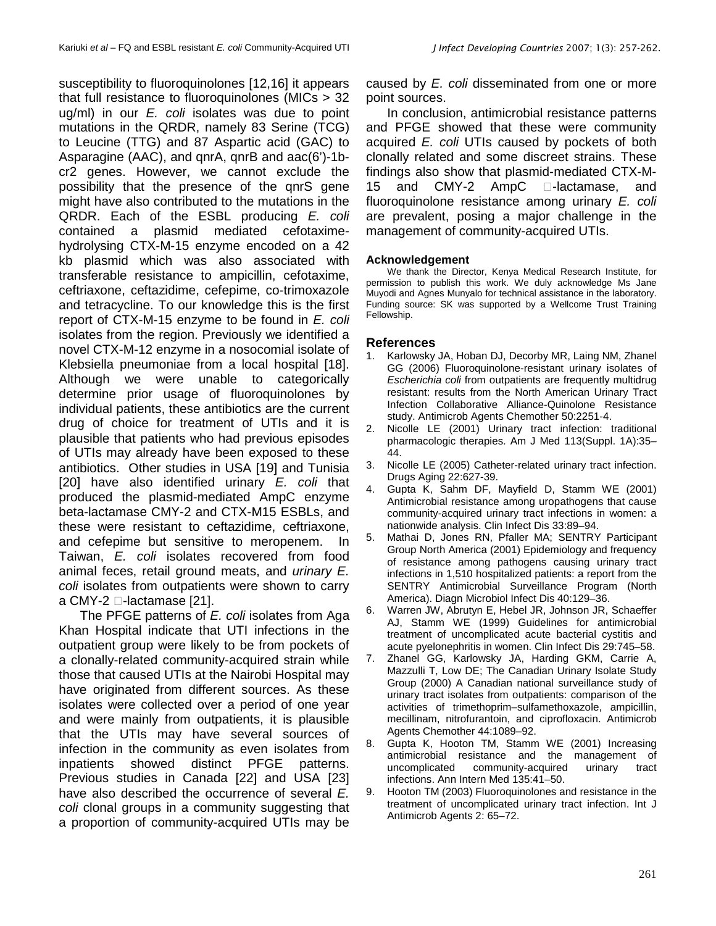susceptibility to fluoroquinolones [12,16] it appears that full resistance to fluoroquinolones (MICs > 32  $uq/ml$ ) in our  $E$ . coli isolates was due to point mutations in the QRDR, namely 83 Serine (TCG) to Leucine (TTG) and 87 Aspartic acid (GAC) to Asparagine (AAC), and qnrA, qnrB and aac(6')-1bcr2 genes. However, we cannot exclude the possibility that the presence of the qnrS gene might have also contributed to the mutations in the QRDR. Each of the ESBL producing E. coli contained a plasmid mediated cefotaximehydrolysing CTX-M-15 enzyme encoded on a 42 kb plasmid which was also associated with transferable resistance to ampicillin, cefotaxime, ceftriaxone, ceftazidime, cefepime, co-trimoxazole and tetracycline. To our knowledge this is the first report of CTX-M-15 enzyme to be found in E. coli isolates from the region. Previously we identified a novel CTX-M-12 enzyme in a nosocomial isolate of Klebsiella pneumoniae from a local hospital [18]. Although we were unable to categorically determine prior usage of fluoroquinolones by individual patients, these antibiotics are the current drug of choice for treatment of UTIs and it is plausible that patients who had previous episodes of UTIs may already have been exposed to these antibiotics. Other studies in USA [19] and Tunisia [20] have also identified urinary E. coli that produced the plasmid-mediated AmpC enzyme beta-lactamase CMY-2 and CTX-M15 ESBLs, and these were resistant to ceftazidime, ceftriaxone, and cefepime but sensitive to meropenem. In Taiwan, E. coli isolates recovered from food animal feces, retail ground meats, and urinary E. coli isolates from outpatients were shown to carry a CMY-2  $\Box$ -lactamase [21].

The PFGE patterns of E. coli isolates from Aga Khan Hospital indicate that UTI infections in the outpatient group were likely to be from pockets of a clonally-related community-acquired strain while those that caused UTIs at the Nairobi Hospital may have originated from different sources. As these isolates were collected over a period of one year and were mainly from outpatients, it is plausible that the UTIs may have several sources of infection in the community as even isolates from inpatients showed distinct PFGE patterns. Previous studies in Canada [22] and USA [23] have also described the occurrence of several E. coli clonal groups in a community suggesting that a proportion of community-acquired UTIs may be

caused by E. coli disseminated from one or more point sources.

In conclusion, antimicrobial resistance patterns and PFGE showed that these were community acquired E. coli UTIs caused by pockets of both clonally related and some discreet strains. These findings also show that plasmid-mediated CTX-M-15 and  $CMY-2$  AmpC  $\Box$ -lactamase, and fluoroquinolone resistance among urinary E. coli are prevalent, posing a major challenge in the management of community-acquired UTIs.

### **Acknowledgement**

We thank the Director, Kenya Medical Research Institute, for permission to publish this work. We duly acknowledge Ms Jane Muyodi and Agnes Munyalo for technical assistance in the laboratory. Funding source: SK was supported by a Wellcome Trust Training Fellowship.

### **References**

- 1. Karlowsky JA, Hoban DJ, Decorby MR, Laing NM, Zhanel GG (2006) Fluoroquinolone-resistant urinary isolates of Escherichia coli from outpatients are frequently multidrug resistant: results from the North American Urinary Tract Infection Collaborative Alliance-Quinolone Resistance study. Antimicrob Agents Chemother 50:2251-4.
- 2. Nicolle LE (2001) Urinary tract infection: traditional pharmacologic therapies. Am J Med 113(Suppl. 1A):35– 44.
- 3. Nicolle LE (2005) Catheter-related urinary tract infection. Drugs Aging 22:627-39.
- 4. Gupta K, Sahm DF, Mayfield D, Stamm WE (2001) Antimicrobial resistance among uropathogens that cause community-acquired urinary tract infections in women: a nationwide analysis. Clin Infect Dis 33:89–94.
- 5. Mathai D, Jones RN, Pfaller MA; SENTRY Participant Group North America (2001) Epidemiology and frequency of resistance among pathogens causing urinary tract infections in 1,510 hospitalized patients: a report from the SENTRY Antimicrobial Surveillance Program (North America). Diagn Microbiol Infect Dis 40:129–36.
- 6. Warren JW, Abrutyn E, Hebel JR, Johnson JR, Schaeffer AJ, Stamm WE (1999) Guidelines for antimicrobial treatment of uncomplicated acute bacterial cystitis and acute pyelonephritis in women. Clin Infect Dis 29:745–58.
- 7. Zhanel GG, Karlowsky JA, Harding GKM, Carrie A, Mazzulli T, Low DE; The Canadian Urinary Isolate Study Group (2000) A Canadian national surveillance study of urinary tract isolates from outpatients: comparison of the activities of trimethoprim–sulfamethoxazole, ampicillin, mecillinam, nitrofurantoin, and ciprofloxacin. Antimicrob Agents Chemother 44:1089–92.
- 8. Gupta K, Hooton TM, Stamm WE (2001) Increasing antimicrobial resistance and the management of uncomplicated community-acquired urinary tract infections. Ann Intern Med 135:41–50.
- 9. Hooton TM (2003) Fluoroquinolones and resistance in the treatment of uncomplicated urinary tract infection. Int J Antimicrob Agents 2: 65–72.